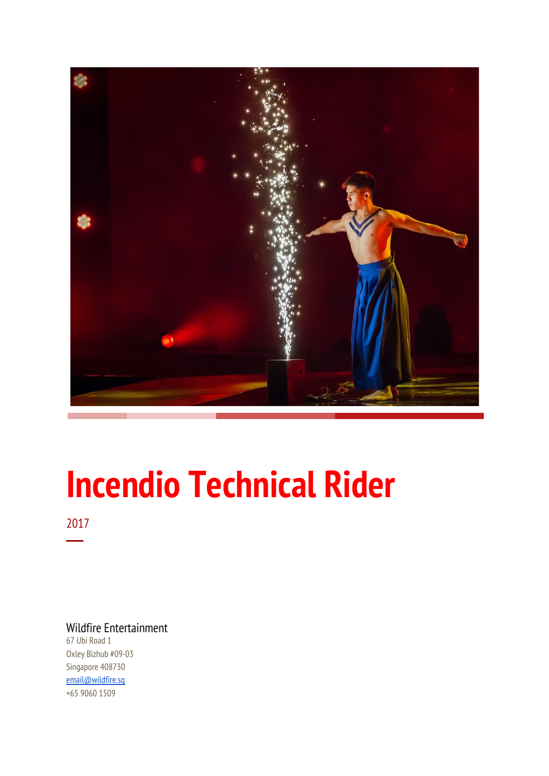

# **Incendio Technical Rider**

2017 ─

Wildfire Entertainment

67 Ubi Road 1 Oxley Bizhub #09-03 Singapore 408730 [email@wildfire.sg](mailto:email@wildfire.sg) +65 9060 1509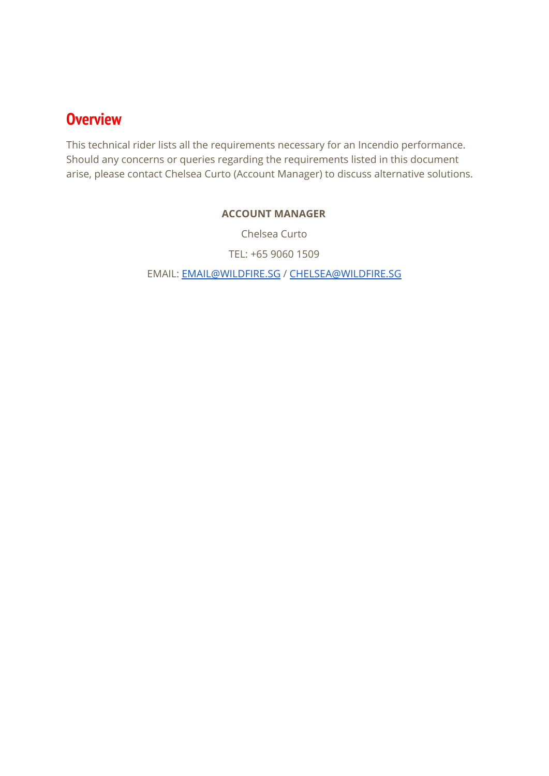### **Overview**

This technical rider lists all the requirements necessary for an Incendio performance. Should any concerns or queries regarding the requirements listed in this document arise, please contact Chelsea Curto (Account Manager) to discuss alternative solutions.

#### **ACCOUNT MANAGER**

Chelsea Curto

TEL: +65 9060 1509

EMAIL: [EMAIL@WILDFIRE.SG](mailto:EMAIL@WILDFIRE.SG) / [CHELSEA@WILDFIRE.SG](mailto:CHELSEA@WILDFIRE.SG)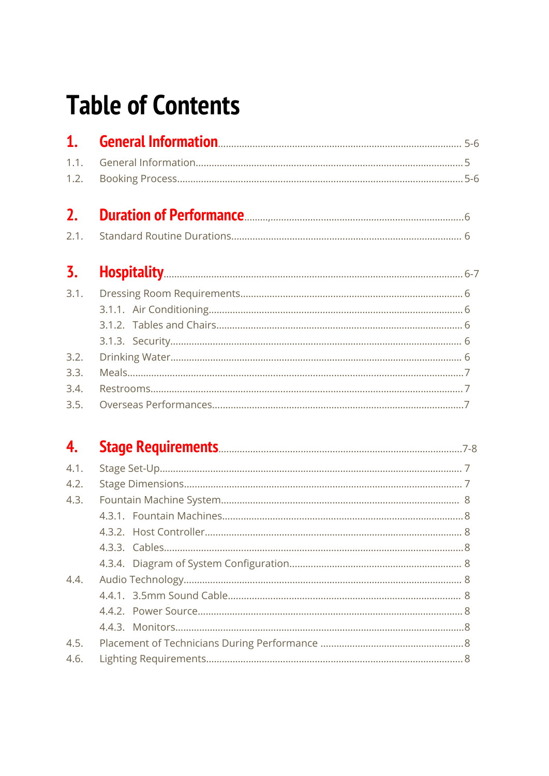## **Table of Contents**

| 1.   |  |
|------|--|
| 1.1. |  |
| 1.2. |  |
| 2.   |  |
| 2.1. |  |
| 3.   |  |
| 3.1. |  |
|      |  |
|      |  |
|      |  |
| 3.2. |  |
| 3.3. |  |
| 3.4. |  |
| 3.5. |  |

| 4.   |  |
|------|--|
| 4.1. |  |
| 4.2. |  |
| 4.3. |  |
|      |  |
|      |  |
|      |  |
|      |  |
| 4.4. |  |
|      |  |
|      |  |
|      |  |
| 4.5. |  |
| 4.6. |  |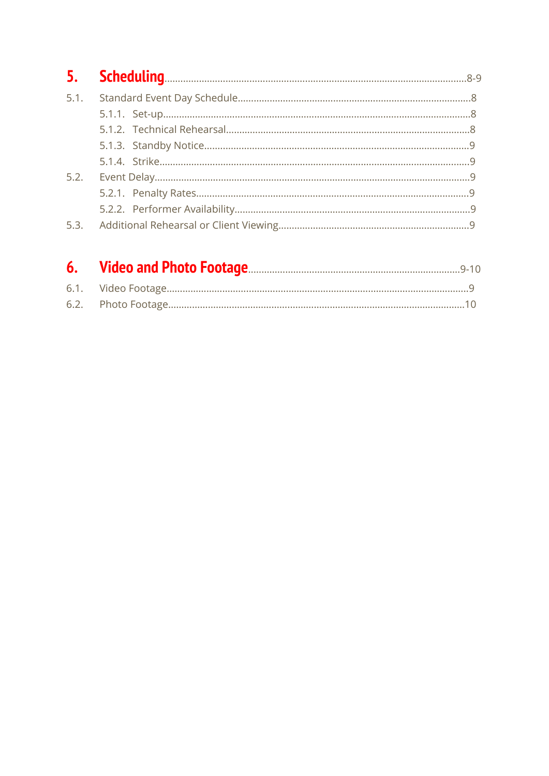| 5.2. |  |
|------|--|
|      |  |
|      |  |
|      |  |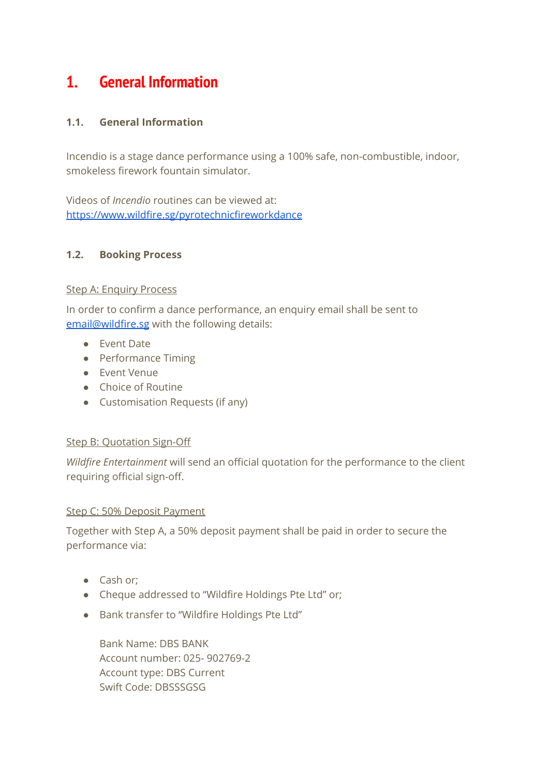## **1. General Information**

#### **1.1. General Information**

Incendio is a stage dance performance using a 100% safe, non-combustible, indoor, smokeless firework fountain simulator.

Videos of *Incendio* routines can be viewed at: <https://www.wildfire.sg/pyrotechnicfireworkdance>

#### **1.2. Booking Process**

#### Step A: Enquiry Process

In order to confirm a dance performance, an enquiry email shall be sent to [email@wildfire.sg](mailto:email@wildfire.sg) with the following details:

- Event Date
- Performance Timing
- Event Venue
- Choice of Routine
- Customisation Requests (if any)

#### **Step B: Quotation Sign-Off**

*Wildfire Entertainment* will send an official quotation for the performance to the client requiring official sign-off.

#### Step C: 50% Deposit Payment

Together with Step A, a 50% deposit payment shall be paid in order to secure the performance via:

- Cash or;
- Cheque addressed to "Wildfire Holdings Pte Ltd" or;
- Bank transfer to "Wildfire Holdings Pte Ltd"

Bank Name: DBS BANK Account number: 025- 902769-2 Account type: DBS Current Swift Code: DBSSSGSG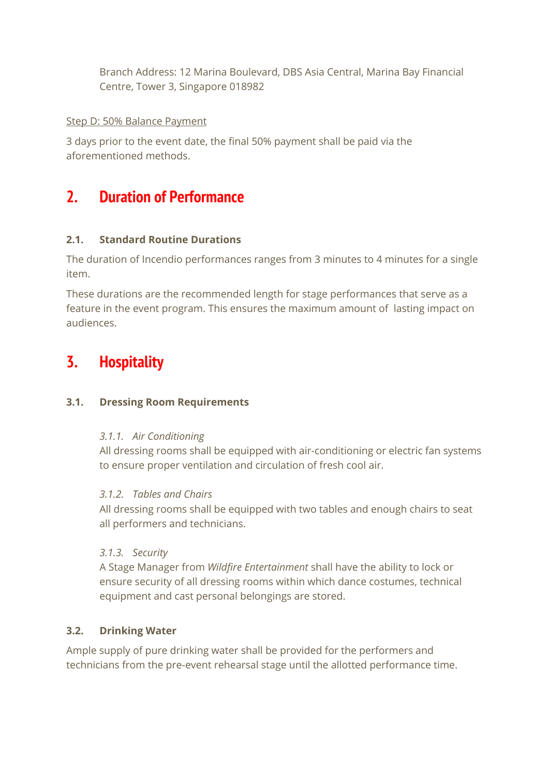Branch Address: 12 Marina Boulevard, DBS Asia Central, Marina Bay Financial Centre, Tower 3, Singapore 018982

#### Step D: 50% Balance Payment

3 days prior to the event date, the final 50% payment shall be paid via the aforementioned methods.

## **2. Duration of Performance**

#### **2.1. Standard Routine Durations**

The duration of Incendio performances ranges from 3 minutes to 4 minutes for a single item.

These durations are the recommended length for stage performances that serve as a feature in the event program. This ensures the maximum amount of lasting impact on audiences.

## **3. Hospitality**

#### **3.1. Dressing Room Requirements**

#### *3.1.1. Air Conditioning*

All dressing rooms shall be equipped with air-conditioning or electric fan systems to ensure proper ventilation and circulation of fresh cool air.

#### *3.1.2. Tables and Chairs*

All dressing rooms shall be equipped with two tables and enough chairs to seat all performers and technicians.

#### *3.1.3. Security*

A Stage Manager from *Wildfire Entertainment* shall have the ability to lock or ensure security of all dressing rooms within which dance costumes, technical equipment and cast personal belongings are stored.

#### **3.2. Drinking Water**

Ample supply of pure drinking water shall be provided for the performers and technicians from the pre-event rehearsal stage until the allotted performance time.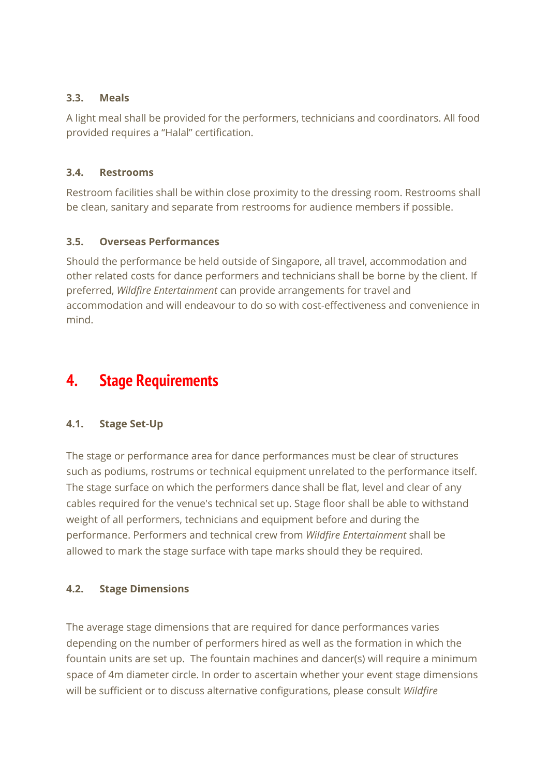#### **3.3. Meals**

A light meal shall be provided for the performers, technicians and coordinators. All food provided requires a "Halal" certification.

#### **3.4. Restrooms**

Restroom facilities shall be within close proximity to the dressing room. Restrooms shall be clean, sanitary and separate from restrooms for audience members if possible.

#### **3.5. Overseas Performances**

Should the performance be held outside of Singapore, all travel, accommodation and other related costs for dance performers and technicians shall be borne by the client. If preferred, *Wildfire Entertainment* can provide arrangements for travel and accommodation and will endeavour to do so with cost-effectiveness and convenience in mind.

## **4. Stage Requirements**

#### **4.1. Stage Set-Up**

The stage or performance area for dance performances must be clear of structures such as podiums, rostrums or technical equipment unrelated to the performance itself. The stage surface on which the performers dance shall be flat, level and clear of any cables required for the venue's technical set up. Stage floor shall be able to withstand weight of all performers, technicians and equipment before and during the performance. Performers and technical crew from *Wildfire Entertainment* shall be allowed to mark the stage surface with tape marks should they be required.

#### **4.2. Stage Dimensions**

The average stage dimensions that are required for dance performances varies depending on the number of performers hired as well as the formation in which the fountain units are set up. The fountain machines and dancer(s) will require a minimum space of 4m diameter circle. In order to ascertain whether your event stage dimensions will be sufficient or to discuss alternative configurations, please consult *Wildfire*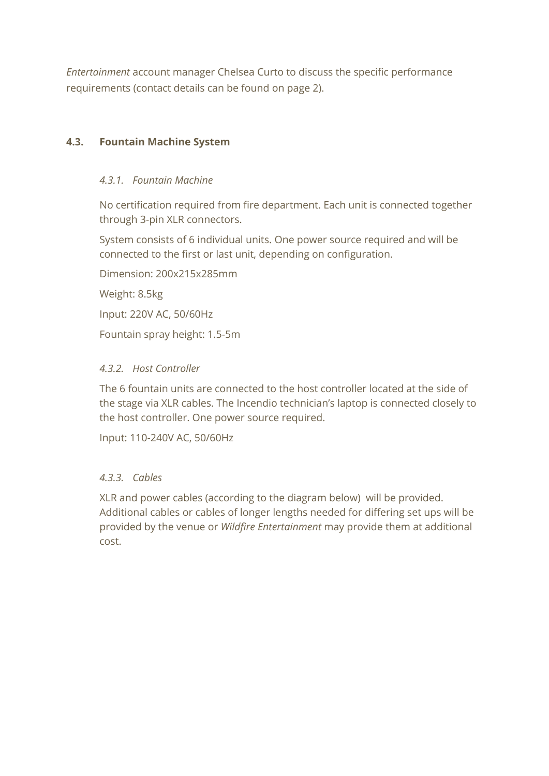*Entertainment* account manager Chelsea Curto to discuss the specific performance requirements (contact details can be found on page 2).

#### **4.3. Fountain Machine System**

#### *4.3.1. Fountain Machine*

No certification required from fire department. Each unit is connected together through 3-pin XLR connectors.

System consists of 6 individual units. One power source required and will be connected to the first or last unit, depending on configuration.

Dimension: 200x215x285mm Weight: 8.5kg Input: 220V AC, 50/60Hz Fountain spray height: 1.5-5m

#### *4.3.2. Host Controller*

The 6 fountain units are connected to the host controller located at the side of the stage via XLR cables. The Incendio technician's laptop is connected closely to the host controller. One power source required.

Input: 110-240V AC, 50/60Hz

#### *4.3.3. Cables*

XLR and power cables (according to the diagram below) will be provided. Additional cables or cables of longer lengths needed for differing set ups will be provided by the venue or *Wildfire Entertainment* may provide them at additional cost.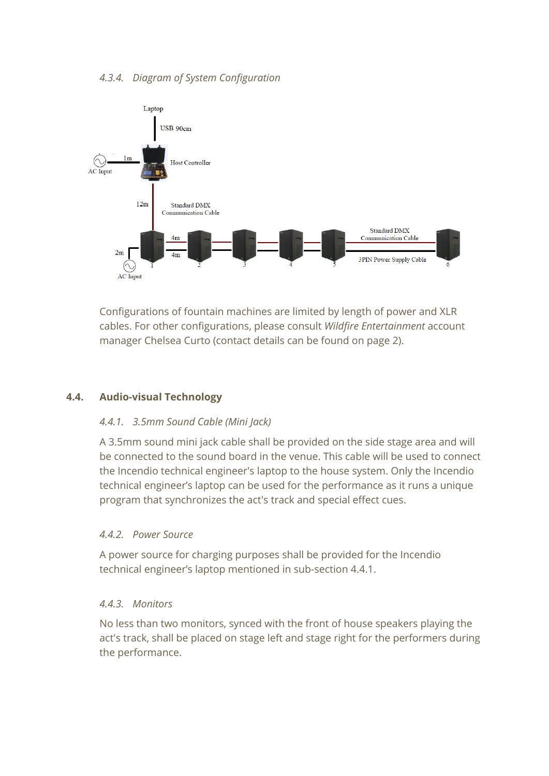

Configurations of fountain machines are limited by length of power and XLR cables. For other configurations, please consult *Wildfire Entertainment* account manager Chelsea Curto (contact details can be found on page 2).

#### **4.4. Audio-visual Technology**

#### *4.4.1. 3.5mm Sound Cable (Mini Jack)*

A 3.5mm sound mini jack cable shall be provided on the side stage area and will be connected to the sound board in the venue. This cable will be used to connect the Incendio technical engineer's laptop to the house system. Only the Incendio technical engineer's laptop can be used for the performance as it runs a unique program that synchronizes the act's track and special effect cues.

#### *4.4.2. Power Source*

A power source for charging purposes shall be provided for the Incendio technical engineer's laptop mentioned in sub-section 4.4.1.

#### *4.4.3. Monitors*

No less than two monitors, synced with the front of house speakers playing the act's track, shall be placed on stage left and stage right for the performers during the performance.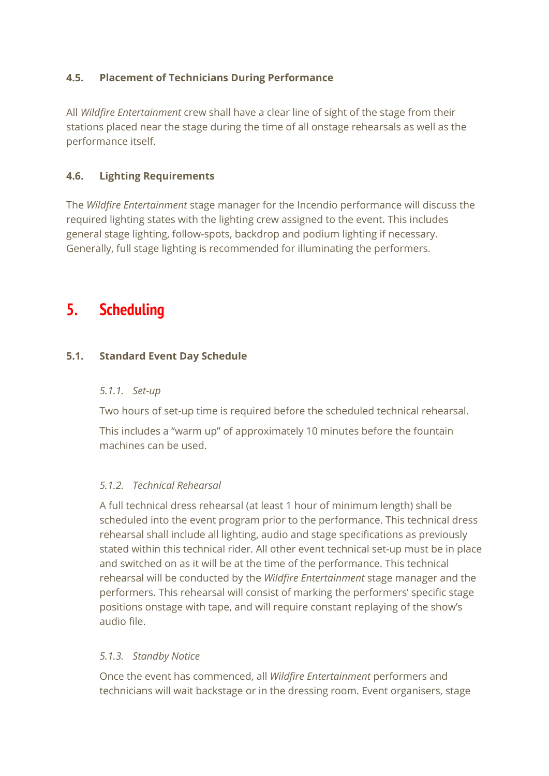#### **4.5. Placement of Technicians During Performance**

All *Wildfire Entertainment* crew shall have a clear line of sight of the stage from their stations placed near the stage during the time of all onstage rehearsals as well as the performance itself.

#### **4.6. Lighting Requirements**

The *Wildfire Entertainment* stage manager for the Incendio performance will discuss the required lighting states with the lighting crew assigned to the event. This includes general stage lighting, follow-spots, backdrop and podium lighting if necessary. Generally, full stage lighting is recommended for illuminating the performers.

## **5. Scheduling**

#### **5.1. Standard Event Day Schedule**

#### *5.1.1. Set-up*

Two hours of set-up time is required before the scheduled technical rehearsal.

This includes a "warm up" of approximately 10 minutes before the fountain machines can be used.

#### *5.1.2. Technical Rehearsal*

A full technical dress rehearsal (at least 1 hour of minimum length) shall be scheduled into the event program prior to the performance. This technical dress rehearsal shall include all lighting, audio and stage specifications as previously stated within this technical rider. All other event technical set-up must be in place and switched on as it will be at the time of the performance. This technical rehearsal will be conducted by the *Wildfire Entertainment* stage manager and the performers. This rehearsal will consist of marking the performers' specific stage positions onstage with tape, and will require constant replaying of the show's audio file.

#### *5.1.3. Standby Notice*

Once the event has commenced, all *Wildfire Entertainment* performers and technicians will wait backstage or in the dressing room. Event organisers, stage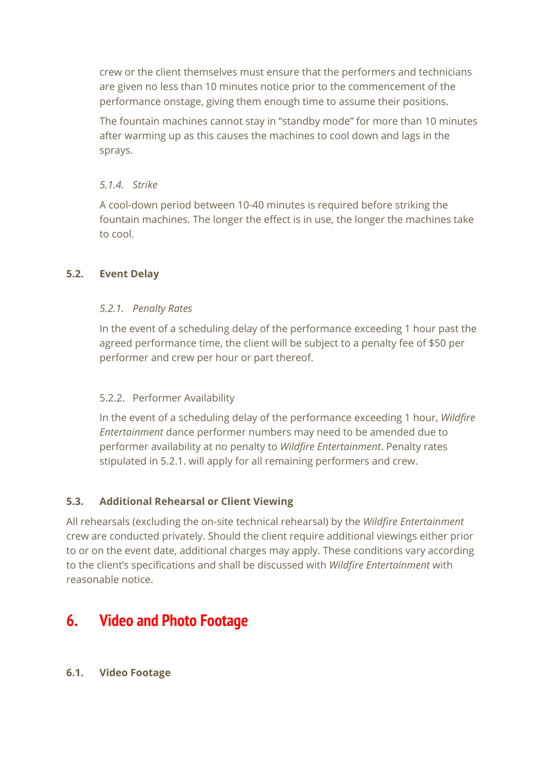crew or the client themselves must ensure that the performers and technicians are given no less than 10 minutes notice prior to the commencement of the performance onstage, giving them enough time to assume their positions.

The fountain machines cannot stay in "standby mode" for more than 10 minutes after warming up as this causes the machines to cool down and lags in the sprays.

#### *5.1.4. Strike*

A cool-down period between 10-40 minutes is required before striking the fountain machines. The longer the effect is in use, the longer the machines take to cool.

#### **5.2. Event Delay**

#### *5.2.1. Penalty Rates*

In the event of a scheduling delay of the performance exceeding 1 hour past the agreed performance time, the client will be subject to a penalty fee of \$50 per performer and crew per hour or part thereof.

#### 5.2.2. Performer Availability

In the event of a scheduling delay of the performance exceeding 1 hour, *Wildfire Entertainment* dance performer numbers may need to be amended due to performer availability at no penalty to *Wildfire Entertainment*. Penalty rates stipulated in 5.2.1. will apply for all remaining performers and crew.

#### **5.3. Additional Rehearsal or Client Viewing**

All rehearsals (excluding the on-site technical rehearsal) by the *Wildfire Entertainment* crew are conducted privately. Should the client require additional viewings either prior to or on the event date, additional charges may apply. These conditions vary according to the client's specifications and shall be discussed with *Wildfire Entertainment* with reasonable notice.

## **6. Video and Photo Footage**

#### **6.1. Video Footage**